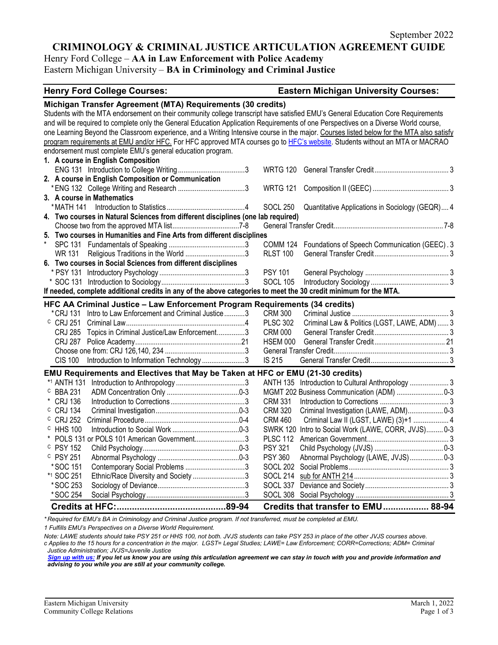# **CRIMINOLOGY & CRIMINAL JUSTICE ARTICULATION AGREEMENT GUIDE**

Henry Ford College – **AA in Law Enforcement with Police Academy** Eastern Michigan University – **BA in Criminology and Criminal Justice**

### **Henry Ford College Courses: Eastern Michigan University Courses:**

| Michigan Transfer Agreement (MTA) Requirements (30 credits)                                                                              |                                                                    |  |  |
|------------------------------------------------------------------------------------------------------------------------------------------|--------------------------------------------------------------------|--|--|
| Students with the MTA endorsement on their community college transcript have satisfied EMU's General Education Core Requirements         |                                                                    |  |  |
| and will be required to complete only the General Education Application Requirements of one Perspectives on a Diverse World course,      |                                                                    |  |  |
| one Learning Beyond the Classroom experience, and a Writing Intensive course in the major. Courses listed below for the MTA also satisfy |                                                                    |  |  |
| program requirements at EMU and/or HFC. For HFC approved MTA courses go to HFC's website. Students without an MTA or MACRAO              |                                                                    |  |  |
| endorsement must complete EMU's general education program.                                                                               |                                                                    |  |  |
| 1. A course in English Composition                                                                                                       |                                                                    |  |  |
|                                                                                                                                          | <b>WRTG 120</b>                                                    |  |  |
| 2. A course in English Composition or Communication                                                                                      |                                                                    |  |  |
|                                                                                                                                          | <b>WRTG 121</b>                                                    |  |  |
| 3. A course in Mathematics                                                                                                               |                                                                    |  |  |
|                                                                                                                                          | <b>SOCL 250</b><br>Quantitative Applications in Sociology (GEQR) 4 |  |  |
| 4. Two courses in Natural Sciences from different disciplines (one lab required)                                                         |                                                                    |  |  |
|                                                                                                                                          |                                                                    |  |  |
| 5. Two courses in Humanities and Fine Arts from different disciplines                                                                    |                                                                    |  |  |
|                                                                                                                                          | COMM 124 Foundations of Speech Communication (GEEC). 3             |  |  |
| WR 131                                                                                                                                   | <b>RLST 100</b>                                                    |  |  |
| 6. Two courses in Social Sciences from different disciplines                                                                             |                                                                    |  |  |
|                                                                                                                                          | <b>PSY 101</b>                                                     |  |  |
|                                                                                                                                          | <b>SOCL 105</b>                                                    |  |  |
| If needed, complete additional credits in any of the above categories to meet the 30 credit minimum for the MTA.                         |                                                                    |  |  |
| HFC AA Criminal Justice - Law Enforcement Program Requirements (34 credits)                                                              |                                                                    |  |  |
| *CRJ 131 Intro to Law Enforcement and Criminal Justice3                                                                                  | <b>CRM 300</b>                                                     |  |  |
| $\circ$ CRJ 251                                                                                                                          | Criminal Law & Politics (LGST, LAWE, ADM)  3<br><b>PLSC 302</b>    |  |  |
| Topics in Criminal Justice/Law Enforcement3<br><b>CRJ 285</b>                                                                            | <b>CRM 000</b>                                                     |  |  |
|                                                                                                                                          | <b>HSEM 000</b>                                                    |  |  |
|                                                                                                                                          |                                                                    |  |  |
| Introduction to Information Technology 3<br><b>CIS 100</b>                                                                               | IS 215                                                             |  |  |
| EMU Requirements and Electives that May be Taken at HFC or EMU (21-30 credits)                                                           |                                                                    |  |  |
| *1 ANTH 131                                                                                                                              | ANTH 135 Introduction to Cultural Anthropology  3                  |  |  |
| $\circ$ BBA 231                                                                                                                          |                                                                    |  |  |
| * CRJ 136                                                                                                                                | <b>CRM 331</b>                                                     |  |  |
| $C$ CRJ 134                                                                                                                              | <b>CRM 320</b><br>Criminal Investigation (LAWE, ADM) 0-3           |  |  |
| $C$ CRJ 252                                                                                                                              | Criminal Law II (LGST, LAWE) (3)+1  4<br><b>CRM 460</b>            |  |  |
| $\circ$ HHS 100                                                                                                                          | SWRK 120 Intro to Social Work (LAWE, CORR, JVJS) 0-3               |  |  |
| * POLS 131 or POLS 101 American Government3                                                                                              | <b>PLSC 112</b>                                                    |  |  |
| c PSY 152                                                                                                                                | <b>PSY 321</b>                                                     |  |  |
| <sup>c</sup> PSY 251                                                                                                                     | <b>PSY 360</b><br>Abnormal Psychology (LAWE, JVJS) 0-3             |  |  |
| Contemporary Social Problems 3<br>* SOC 151                                                                                              | <b>SOCL 202</b>                                                    |  |  |
| *1 SOC 251<br>Ethnic/Race Diversity and Society 3                                                                                        | <b>SOCL 214</b>                                                    |  |  |
| *SOC 253                                                                                                                                 | <b>SOCL 337</b>                                                    |  |  |
| *SOC 254                                                                                                                                 | <b>SOCL 308</b>                                                    |  |  |
|                                                                                                                                          | Credits that transfer to EMU 88-94                                 |  |  |

*\* Required for EMU's BA in Criminology and Criminal Justice program. If not transferred, must be completed at EMU.* 

*1 Fulfills EMU's Perspectives on a Diverse World Requirement.*

*Note: LAWE students should take PSY 251 or HHS 100, not both. JVJS students can take PSY 253 in place of the other JVJS courses above. c Applies to the 15 hours for a concentration in the major. LGST= Legal Studies; LAWE= Law Enforcement; CORR=Corrections; ADM= Criminal Justice Administration; JVJS=Juvenile Justice*

*[Sign up with us:](https://www.emich.edu/ccr/articulation-agreements/signup.php) If you let us know you are using this articulation agreement we can stay in touch with you and provide information and advising to you while you are still at your community college.*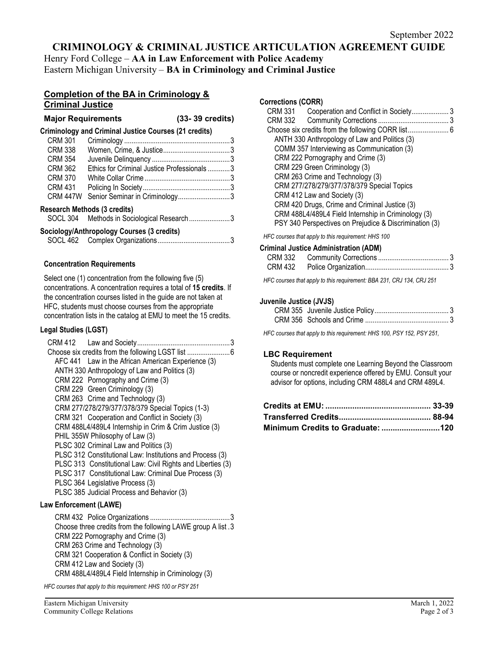# **CRIMINOLOGY & CRIMINAL JUSTICE ARTICULATION AGREEMENT GUIDE**

Henry Ford College – **AA in Law Enforcement with Police Academy** Eastern Michigan University – **BA in Criminology and Criminal Justice**

# **Completion of the BA in Criminology & Criminal Justice**

| <b>Major Requirements</b> |                                                       | $(33-39 \text{ credits})$ |
|---------------------------|-------------------------------------------------------|---------------------------|
|                           | Criminology and Criminal Justice Courses (21 credits) |                           |
| CRM 301                   |                                                       |                           |
| CRM 338                   |                                                       |                           |
| CRM 354                   |                                                       |                           |
| CRM 362                   | Ethics for Criminal Justice Professionals3            |                           |
| <b>CRM 370</b>            |                                                       |                           |
| <b>CRM 431</b>            |                                                       |                           |
| CRM 447W                  | Senior Seminar in Criminology3                        |                           |
|                           | <b>Research Methods (3 credits)</b>                   |                           |
|                           | SOCL 304 Methods in Sociological Research3            |                           |
|                           | Sociology/Anthropology Courses (3 credits)            |                           |
|                           |                                                       |                           |

# **Concentration Requirements**

Select one (1) concentration from the following five (5) concentrations. A concentration requires a total of **15 credits**. If the concentration courses listed in the guide are not taken at HFC, students must choose courses from the appropriate concentration lists in the catalog at EMU to meet the 15 credits.

# **Legal Studies (LGST)**

| 3                                                                                                                                                                                                                                                                                                                                                                                                                                                                                                                                                                                                                                                                                                                                                                |
|------------------------------------------------------------------------------------------------------------------------------------------------------------------------------------------------------------------------------------------------------------------------------------------------------------------------------------------------------------------------------------------------------------------------------------------------------------------------------------------------------------------------------------------------------------------------------------------------------------------------------------------------------------------------------------------------------------------------------------------------------------------|
|                                                                                                                                                                                                                                                                                                                                                                                                                                                                                                                                                                                                                                                                                                                                                                  |
|                                                                                                                                                                                                                                                                                                                                                                                                                                                                                                                                                                                                                                                                                                                                                                  |
|                                                                                                                                                                                                                                                                                                                                                                                                                                                                                                                                                                                                                                                                                                                                                                  |
|                                                                                                                                                                                                                                                                                                                                                                                                                                                                                                                                                                                                                                                                                                                                                                  |
|                                                                                                                                                                                                                                                                                                                                                                                                                                                                                                                                                                                                                                                                                                                                                                  |
|                                                                                                                                                                                                                                                                                                                                                                                                                                                                                                                                                                                                                                                                                                                                                                  |
|                                                                                                                                                                                                                                                                                                                                                                                                                                                                                                                                                                                                                                                                                                                                                                  |
|                                                                                                                                                                                                                                                                                                                                                                                                                                                                                                                                                                                                                                                                                                                                                                  |
|                                                                                                                                                                                                                                                                                                                                                                                                                                                                                                                                                                                                                                                                                                                                                                  |
|                                                                                                                                                                                                                                                                                                                                                                                                                                                                                                                                                                                                                                                                                                                                                                  |
|                                                                                                                                                                                                                                                                                                                                                                                                                                                                                                                                                                                                                                                                                                                                                                  |
|                                                                                                                                                                                                                                                                                                                                                                                                                                                                                                                                                                                                                                                                                                                                                                  |
|                                                                                                                                                                                                                                                                                                                                                                                                                                                                                                                                                                                                                                                                                                                                                                  |
|                                                                                                                                                                                                                                                                                                                                                                                                                                                                                                                                                                                                                                                                                                                                                                  |
|                                                                                                                                                                                                                                                                                                                                                                                                                                                                                                                                                                                                                                                                                                                                                                  |
|                                                                                                                                                                                                                                                                                                                                                                                                                                                                                                                                                                                                                                                                                                                                                                  |
| CRM 412 Law and Society<br><br>AFC 441 Law in the African American Experience (3)<br>ANTH 330 Anthropology of Law and Politics (3)<br>CRM 222 Pornography and Crime (3)<br>CRM 229 Green Criminology (3)<br>CRM 263 Crime and Technology (3)<br>CRM 277/278/279/377/378/379 Special Topics (1-3)<br>CRM 321 Cooperation and Conflict in Society (3)<br>CRM 488L4/489L4 Internship in Crim & Crim Justice (3)<br>PHIL 355W Philosophy of Law (3)<br>PLSC 302 Criminal Law and Politics (3)<br>PLSC 312 Constitutional Law: Institutions and Process (3)<br>PLSC 313 Constitutional Law: Civil Rights and Liberties (3)<br>PLSC 317 Constitutional Law: Criminal Due Process (3)<br>PLSC 364 Legislative Process (3)<br>PLSC 385 Judicial Process and Behavior (3) |

# **Law Enforcement (LAWE)**

 CRM 432 Police Organizations ........................................... 3 Choose three credits from the following LAWE group A list . 3 CRM 222 Pornography and Crime (3) CRM 263 Crime and Technology (3) CRM 321 Cooperation & Conflict in Society (3) CRM 412 Law and Society (3) CRM 488L4/489L4 Field Internship in Criminology (3)

*HFC courses that apply to this requirement: HHS 100 or PSY 251*

#### **Corrections (CORR)**

| CRM 331 |                                                        |  |
|---------|--------------------------------------------------------|--|
| CRM 332 |                                                        |  |
|         |                                                        |  |
|         | ANTH 330 Anthropology of Law and Politics (3)          |  |
|         | COMM 357 Interviewing as Communication (3)             |  |
|         | CRM 222 Pornography and Crime (3)                      |  |
|         | CRM 229 Green Criminology (3)                          |  |
|         | CRM 263 Crime and Technology (3)                       |  |
|         | CRM 277/278/279/377/378/379 Special Topics             |  |
|         | CRM 412 Law and Society (3)                            |  |
|         | CRM 420 Drugs, Crime and Criminal Justice (3)          |  |
|         | CRM 488L4/489L4 Field Internship in Criminology (3)    |  |
|         | PSY 340 Perspectives on Prejudice & Discrimination (3) |  |
|         |                                                        |  |

*HFC courses that apply to this requirement: HHS 100*

#### **Criminal Justice Administration (ADM)**

*HFC courses that apply to this requirement: BBA 231, CRJ 134, CRJ 251* 

## **Juvenile Justice (JVJS)**

*HFC courses that apply to this requirement: HHS 100, PSY 152, PSY 251,* 

### **LBC Requirement**

Students must complete one Learning Beyond the Classroom course or noncredit experience offered by EMU. Consult your advisor for options, including CRM 488L4 and CRM 489L4.